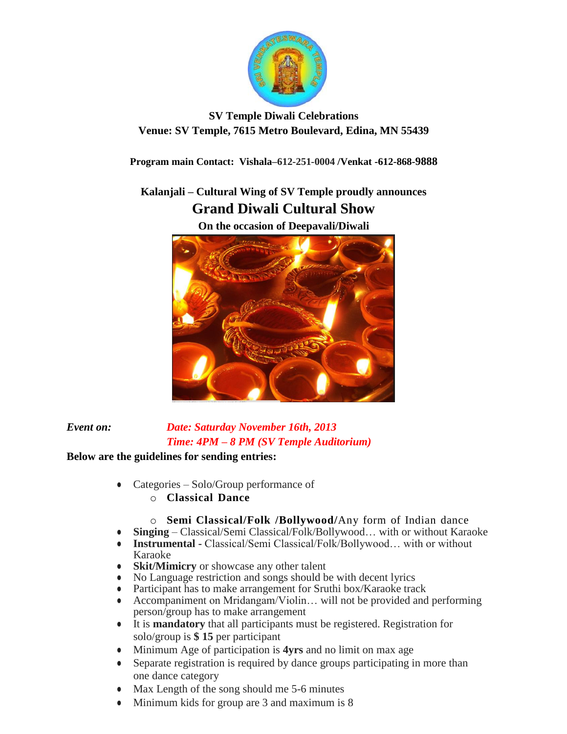

## **SV Temple Diwali Celebrations Venue: SV Temple, 7615 Metro Boulevard, Edina, MN 55439**

**Program main Contact: Vishala–612-251-0004 /Venkat -612-868-9888**

## **Kalanjali – Cultural Wing of SV Temple proudly announces Grand Diwali Cultural Show**

**On the occasion of Deepavali/Diwali**

## *Event on: Date: Saturday November 16th, 2013 Time: 4PM – 8 PM (SV Temple Auditorium)*

## **Below are the guidelines for sending entries:**

- Categories Solo/Group performance of
	- o **Classical Dance**
	- o **Semi Classical/Folk /Bollywood/**Any form of Indian dance
- **Singing** Classical/Semi Classical/Folk/Bollywood… with or without Karaoke
- **Instrumental**  Classical/Semi Classical/Folk/Bollywood… with or without Karaoke
- **Skit/Mimicry** or showcase any other talent
- No Language restriction and songs should be with decent lyrics
- Participant has to make arrangement for Sruthi box/Karaoke track
- Accompaniment on Mridangam/Violin... will not be provided and performing person/group has to make arrangement
- It is **mandatory** that all participants must be registered. Registration for solo/group is **\$ 15** per participant
- Minimum Age of participation is **4yrs** and no limit on max age
- Separate registration is required by dance groups participating in more than one dance category
- Max Length of the song should me 5-6 minutes
- Minimum kids for group are 3 and maximum is 8